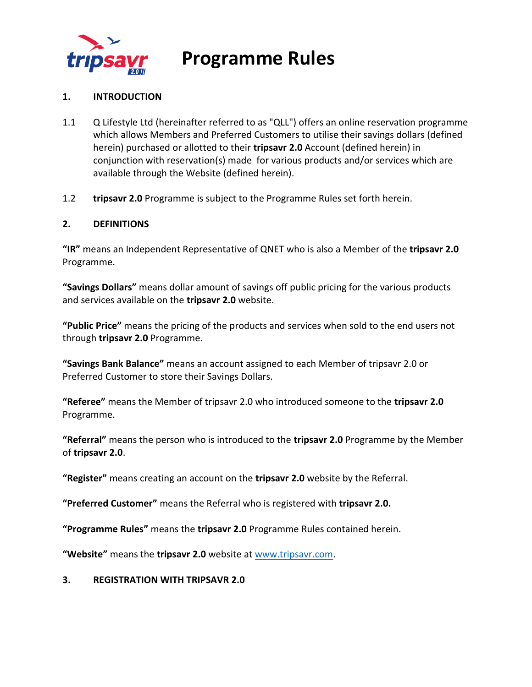

### **1. INTRODUCTION**

- 1.1 Q Lifestyle Ltd (hereinafter referred to as "QLL") offers an online reservation programme which allows Members and Preferred Customers to utilise their savings dollars (defined herein) purchased or allotted to their **tripsavr 2.0** Account (defined herein) in conjunction with reservation(s) made for various products and/or services which are available through the Website (defined herein).
- 1.2 **tripsavr 2.0** Programme is subject to the Programme Rules set forth herein.

### **2. DEFINITIONS**

**"IR"** means an Independent Representative of QNET who is also a Member of the **tripsavr 2.0** Programme.

**"Savings Dollars"** means dollar amount of savings off public pricing for the various products and services available on the **tripsavr 2.0** website.

**"Public Price"** means the pricing of the products and services when sold to the end users not through **tripsavr 2.0** Programme.

**"Savings Bank Balance"** means an account assigned to each Member of tripsavr 2.0 or Preferred Customer to store their Savings Dollars.

**"Referee"** means the Member of tripsavr 2.0 who introduced someone to the **tripsavr 2.0** Programme.

**"Referral"** means the person who is introduced to the **tripsavr 2.0** Programme by the Member of **tripsavr 2.0**.

**"Register"** means creating an account on the **tripsavr 2.0** website by the Referral.

**"Preferred Customer"** means the Referral who is registered with **tripsavr 2.0.**

**"Programme Rules"** means the **tripsavr 2.0** Programme Rules contained herein.

**"Website"** means the **tripsavr 2.0** website at [www.tripsavr.com.](http://www.tripsavr.com/)

### **3. REGISTRATION WITH TRIPSAVR 2.0**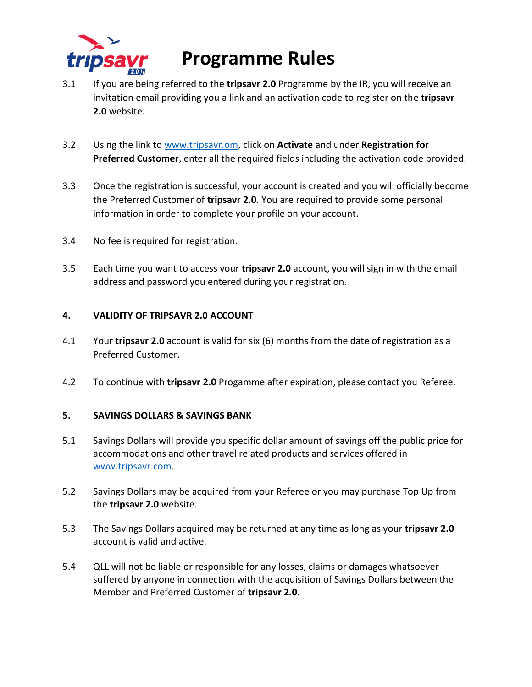

- 3.1 If you are being referred to the **tripsavr 2.0** Programme by the IR, you will receive an invitation email providing you a link and an activation code to register on the **tripsavr 2.0** website.
- 3.2 Using the link to [www.tripsavr.om,](http://www.tripsavr.om/) click on **Activate** and under **Registration for Preferred Customer**, enter all the required fields including the activation code provided.
- 3.3 Once the registration is successful, your account is created and you will officially become the Preferred Customer of **tripsavr 2.0**. You are required to provide some personal information in order to complete your profile on your account.
- 3.4 No fee is required for registration.
- 3.5 Each time you want to access your **tripsavr 2.0** account, you will sign in with the email address and password you entered during your registration.

### **4. VALIDITY OF TRIPSAVR 2.0 ACCOUNT**

- 4.1 Your **tripsavr 2.0** account is valid for six (6) months from the date of registration as a Preferred Customer.
- 4.2 To continue with **tripsavr 2.0** Progamme after expiration, please contact you Referee.

### **5. SAVINGS DOLLARS & SAVINGS BANK**

- 5.1 Savings Dollars will provide you specific dollar amount of savings off the public price for accommodations and other travel related products and services offered in [www.tripsavr.com.](http://www.tripsavr.com/)
- 5.2 Savings Dollars may be acquired from your Referee or you may purchase Top Up from the **tripsavr 2.0** website.
- 5.3 The Savings Dollars acquired may be returned at any time as long as your **tripsavr 2.0** account is valid and active.
- 5.4 QLL will not be liable or responsible for any losses, claims or damages whatsoever suffered by anyone in connection with the acquisition of Savings Dollars between the Member and Preferred Customer of **tripsavr 2.0**.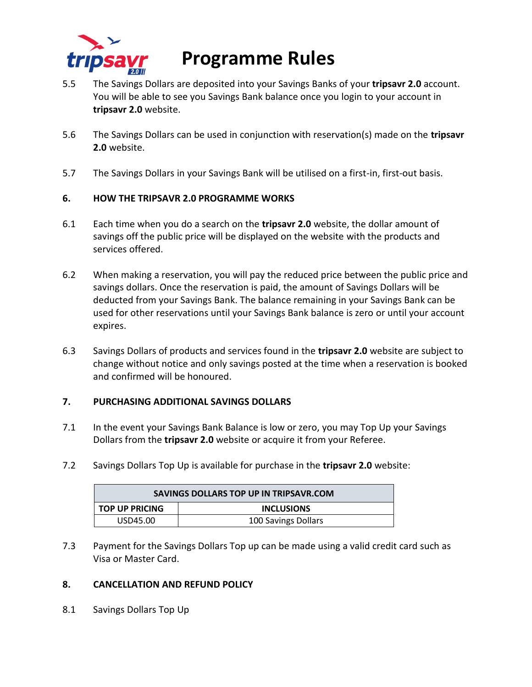

- 5.5 The Savings Dollars are deposited into your Savings Banks of your **tripsavr 2.0** account. You will be able to see you Savings Bank balance once you login to your account in **tripsavr 2.0** website.
- 5.6 The Savings Dollars can be used in conjunction with reservation(s) made on the **tripsavr 2.0** website.
- 5.7 The Savings Dollars in your Savings Bank will be utilised on a first-in, first-out basis.

## **6. HOW THE TRIPSAVR 2.0 PROGRAMME WORKS**

- 6.1 Each time when you do a search on the **tripsavr 2.0** website, the dollar amount of savings off the public price will be displayed on the website with the products and services offered.
- 6.2 When making a reservation, you will pay the reduced price between the public price and savings dollars. Once the reservation is paid, the amount of Savings Dollars will be deducted from your Savings Bank. The balance remaining in your Savings Bank can be used for other reservations until your Savings Bank balance is zero or until your account expires.
- 6.3 Savings Dollars of products and services found in the **tripsavr 2.0** website are subject to change without notice and only savings posted at the time when a reservation is booked and confirmed will be honoured.

### **7. PURCHASING ADDITIONAL SAVINGS DOLLARS**

- 7.1 In the event your Savings Bank Balance is low or zero, you may Top Up your Savings Dollars from the **tripsavr 2.0** website or acquire it from your Referee.
- 7.2 Savings Dollars Top Up is available for purchase in the **tripsavr 2.0** website:

| SAVINGS DOLLARS TOP UP IN TRIPSAVR.COM |                     |
|----------------------------------------|---------------------|
| <b>TOP UP PRICING</b>                  | <b>INCLUSIONS</b>   |
| USD45.00                               | 100 Savings Dollars |

7.3 Payment for the Savings Dollars Top up can be made using a valid credit card such as Visa or Master Card.

### **8. CANCELLATION AND REFUND POLICY**

8.1 Savings Dollars Top Up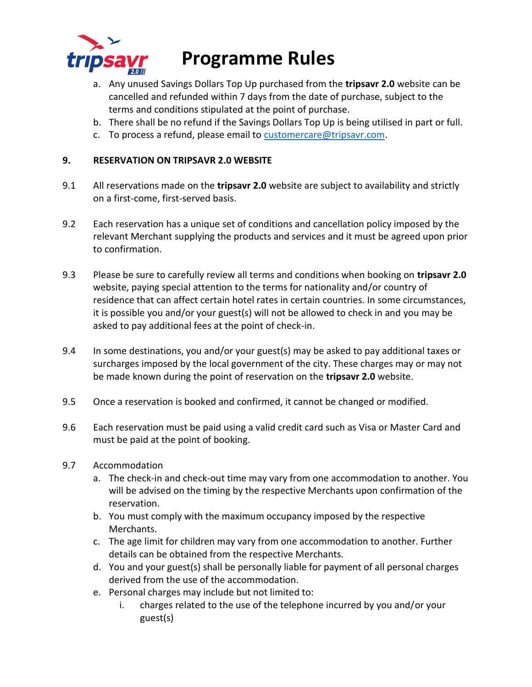

- a. Any unused Savings Dollars Top Up purchased from the **tripsavr 2.0** website can be cancelled and refunded within 7 days from the date of purchase, subject to the terms and conditions stipulated at the point of purchase.
- b. There shall be no refund if the Savings Dollars Top Up is being utilised in part or full.
- c. To process a refund, please email t[o customercare@tripsavr.com.](mailto:customercare@tripsavr.com)

### **9. RESERVATION ON TRIPSAVR 2.0 WEBSITE**

- 9.1 All reservations made on the **tripsavr 2.0** website are subject to availability and strictly on a first-come, first-served basis.
- 9.2 Each reservation has a unique set of conditions and cancellation policy imposed by the relevant Merchant supplying the products and services and it must be agreed upon prior to confirmation.
- 9.3 Please be sure to carefully review all terms and conditions when booking on **tripsavr 2.0** website, paying special attention to the terms for nationality and/or country of residence that can affect certain hotel rates in certain countries. In some circumstances, it is possible you and/or your guest(s) will not be allowed to check in and you may be asked to pay additional fees at the point of check-in.
- 9.4 In some destinations, you and/or your guest(s) may be asked to pay additional taxes or surcharges imposed by the local government of the city. These charges may or may not be made known during the point of reservation on the **tripsavr 2.0** website.
- 9.5 Once a reservation is booked and confirmed, it cannot be changed or modified.
- 9.6 Each reservation must be paid using a valid credit card such as Visa or Master Card and must be paid at the point of booking.
- 9.7 Accommodation
	- a. The check-in and check-out time may vary from one accommodation to another. You will be advised on the timing by the respective Merchants upon confirmation of the reservation.
	- b. You must comply with the maximum occupancy imposed by the respective Merchants.
	- c. The age limit for children may vary from one accommodation to another. Further details can be obtained from the respective Merchants.
	- d. You and your guest(s) shall be personally liable for payment of all personal charges derived from the use of the accommodation.
	- e. Personal charges may include but not limited to:
		- i. charges related to the use of the telephone incurred by you and/or your guest(s)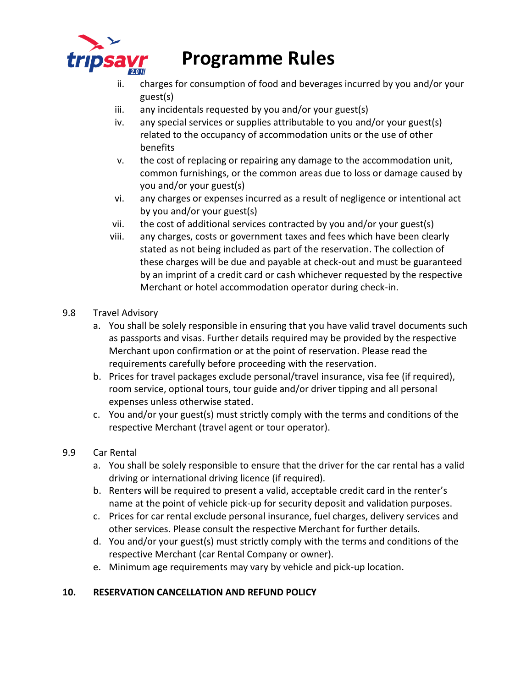

- ii. charges for consumption of food and beverages incurred by you and/or your guest(s)
- iii. any incidentals requested by you and/or your guest(s)
- iv. any special services or supplies attributable to you and/or your guest(s) related to the occupancy of accommodation units or the use of other benefits
- v. the cost of replacing or repairing any damage to the accommodation unit, common furnishings, or the common areas due to loss or damage caused by you and/or your guest(s)
- vi. any charges or expenses incurred as a result of negligence or intentional act by you and/or your guest(s)
- vii. the cost of additional services contracted by you and/or your guest(s)
- viii. any charges, costs or government taxes and fees which have been clearly stated as not being included as part of the reservation. The collection of these charges will be due and payable at check-out and must be guaranteed by an imprint of a credit card or cash whichever requested by the respective Merchant or hotel accommodation operator during check-in.
- 9.8 Travel Advisory
	- a. You shall be solely responsible in ensuring that you have valid travel documents such as passports and visas. Further details required may be provided by the respective Merchant upon confirmation or at the point of reservation. Please read the requirements carefully before proceeding with the reservation.
	- b. Prices for travel packages exclude personal/travel insurance, visa fee (if required), room service, optional tours, tour guide and/or driver tipping and all personal expenses unless otherwise stated.
	- c. You and/or your guest(s) must strictly comply with the terms and conditions of the respective Merchant (travel agent or tour operator).
- 9.9 Car Rental
	- a. You shall be solely responsible to ensure that the driver for the car rental has a valid driving or international driving licence (if required).
	- b. Renters will be required to present a valid, acceptable credit card in the renter's name at the point of vehicle pick-up for security deposit and validation purposes.
	- c. Prices for car rental exclude personal insurance, fuel charges, delivery services and other services. Please consult the respective Merchant for further details.
	- d. You and/or your guest(s) must strictly comply with the terms and conditions of the respective Merchant (car Rental Company or owner).
	- e. Minimum age requirements may vary by vehicle and pick-up location.

## **10. RESERVATION CANCELLATION AND REFUND POLICY**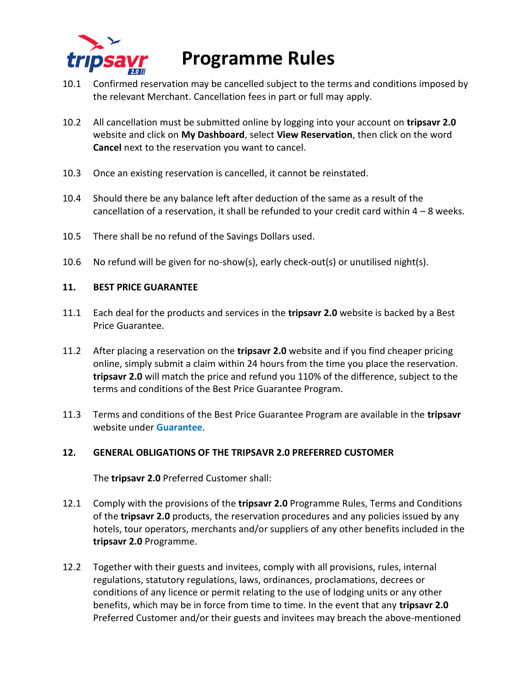

- 10.1 Confirmed reservation may be cancelled subject to the terms and conditions imposed by the relevant Merchant. Cancellation fees in part or full may apply.
- 10.2 All cancellation must be submitted online by logging into your account on **tripsavr 2.0** website and click on **My Dashboard**, select **View Reservation**, then click on the word **Cancel** next to the reservation you want to cancel.
- 10.3 Once an existing reservation is cancelled, it cannot be reinstated.
- 10.4 Should there be any balance left after deduction of the same as a result of the cancellation of a reservation, it shall be refunded to your credit card within  $4 - 8$  weeks.
- 10.5 There shall be no refund of the Savings Dollars used.
- 10.6 No refund will be given for no-show(s), early check-out(s) or unutilised night(s).

#### **11. BEST PRICE GUARANTEE**

- 11.1 Each deal for the products and services in the **tripsavr 2.0** website is backed by a Best Price Guarantee.
- 11.2 After placing a reservation on the **tripsavr 2.0** website and if you find cheaper pricing online, simply submit a claim within 24 hours from the time you place the reservation. **tripsavr 2.0** will match the price and refund you 110% of the difference, subject to the terms and conditions of the Best Price Guarantee Program.
- 11.3 Terms and conditions of the Best Price Guarantee Program are available in the **tripsavr** website under **Guarantee**.

### **12. GENERAL OBLIGATIONS OF THE TRIPSAVR 2.0 PREFERRED CUSTOMER**

The **tripsavr 2.0** Preferred Customer shall:

- 12.1 Comply with the provisions of the **tripsavr 2.0** Programme Rules, Terms and Conditions of the **tripsavr 2.0** products, the reservation procedures and any policies issued by any hotels, tour operators, merchants and/or suppliers of any other benefits included in the **tripsavr 2.0** Programme.
- 12.2 Together with their guests and invitees, comply with all provisions, rules, internal regulations, statutory regulations, laws, ordinances, proclamations, decrees or conditions of any licence or permit relating to the use of lodging units or any other benefits, which may be in force from time to time. In the event that any **tripsavr 2.0**  Preferred Customer and/or their guests and invitees may breach the above-mentioned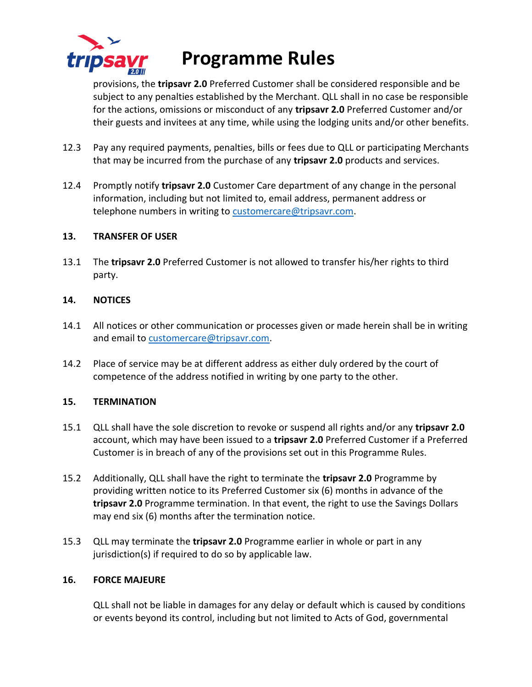

provisions, the **tripsavr 2.0** Preferred Customer shall be considered responsible and be subject to any penalties established by the Merchant. QLL shall in no case be responsible for the actions, omissions or misconduct of any **tripsavr 2.0** Preferred Customer and/or their guests and invitees at any time, while using the lodging units and/or other benefits.

- 12.3 Pay any required payments, penalties, bills or fees due to QLL or participating Merchants that may be incurred from the purchase of any **tripsavr 2.0** products and services.
- 12.4 Promptly notify **tripsavr 2.0** Customer Care department of any change in the personal information, including but not limited to, email address, permanent address or telephone numbers in writing t[o customercare@tripsavr.com.](mailto:customercare@tripsavr.com)

### **13. TRANSFER OF USER**

13.1 The **tripsavr 2.0** Preferred Customer is not allowed to transfer his/her rights to third party.

#### **14. NOTICES**

- 14.1 All notices or other communication or processes given or made herein shall be in writing and email to [customercare@tripsavr.com.](mailto:customercare@tripsavr.com)
- 14.2 Place of service may be at different address as either duly ordered by the court of competence of the address notified in writing by one party to the other.

#### **15. TERMINATION**

- 15.1 QLL shall have the sole discretion to revoke or suspend all rights and/or any **tripsavr 2.0**  account, which may have been issued to a **tripsavr 2.0** Preferred Customer if a Preferred Customer is in breach of any of the provisions set out in this Programme Rules.
- 15.2 Additionally, QLL shall have the right to terminate the **tripsavr 2.0** Programme by providing written notice to its Preferred Customer six (6) months in advance of the **tripsavr 2.0** Programme termination. In that event, the right to use the Savings Dollars may end six (6) months after the termination notice.
- 15.3 QLL may terminate the **tripsavr 2.0** Programme earlier in whole or part in any jurisdiction(s) if required to do so by applicable law.

#### **16. FORCE MAJEURE**

QLL shall not be liable in damages for any delay or default which is caused by conditions or events beyond its control, including but not limited to Acts of God, governmental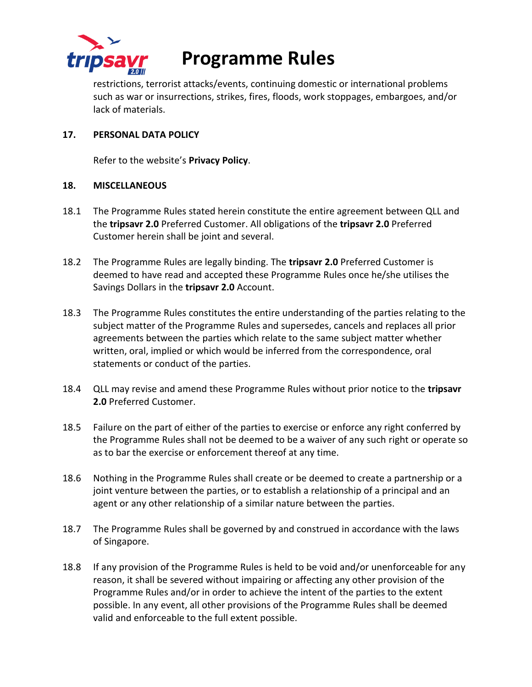

restrictions, terrorist attacks/events, continuing domestic or international problems such as war or insurrections, strikes, fires, floods, work stoppages, embargoes, and/or lack of materials.

### **17. PERSONAL DATA POLICY**

Refer to the website's **Privacy Policy**.

### **18. MISCELLANEOUS**

- 18.1 The Programme Rules stated herein constitute the entire agreement between QLL and the **tripsavr 2.0** Preferred Customer. All obligations of the **tripsavr 2.0** Preferred Customer herein shall be joint and several.
- 18.2 The Programme Rules are legally binding. The **tripsavr 2.0** Preferred Customer is deemed to have read and accepted these Programme Rules once he/she utilises the Savings Dollars in the **tripsavr 2.0** Account.
- 18.3 The Programme Rules constitutes the entire understanding of the parties relating to the subject matter of the Programme Rules and supersedes, cancels and replaces all prior agreements between the parties which relate to the same subject matter whether written, oral, implied or which would be inferred from the correspondence, oral statements or conduct of the parties.
- 18.4 QLL may revise and amend these Programme Rules without prior notice to the **tripsavr 2.0** Preferred Customer.
- 18.5 Failure on the part of either of the parties to exercise or enforce any right conferred by the Programme Rules shall not be deemed to be a waiver of any such right or operate so as to bar the exercise or enforcement thereof at any time.
- 18.6 Nothing in the Programme Rules shall create or be deemed to create a partnership or a joint venture between the parties, or to establish a relationship of a principal and an agent or any other relationship of a similar nature between the parties.
- 18.7 The Programme Rules shall be governed by and construed in accordance with the laws of Singapore.
- 18.8 If any provision of the Programme Rules is held to be void and/or unenforceable for any reason, it shall be severed without impairing or affecting any other provision of the Programme Rules and/or in order to achieve the intent of the parties to the extent possible. In any event, all other provisions of the Programme Rules shall be deemed valid and enforceable to the full extent possible.